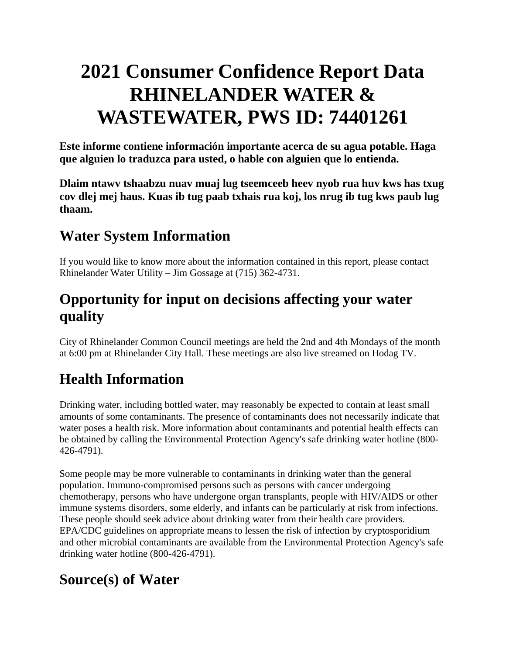# **2021 Consumer Confidence Report Data RHINELANDER WATER & WASTEWATER, PWS ID: 74401261**

**Este informe contiene información importante acerca de su agua potable. Haga que alguien lo traduzca para usted, o hable con alguien que lo entienda.**

**Dlaim ntawv tshaabzu nuav muaj lug tseemceeb heev nyob rua huv kws has txug cov dlej mej haus. Kuas ib tug paab txhais rua koj, los nrug ib tug kws paub lug thaam.**

### **Water System Information**

If you would like to know more about the information contained in this report, please contact Rhinelander Water Utility – Jim Gossage at (715) 362-4731.

### **Opportunity for input on decisions affecting your water quality**

City of Rhinelander Common Council meetings are held the 2nd and 4th Mondays of the month at 6:00 pm at Rhinelander City Hall. These meetings are also live streamed on Hodag TV.

## **Health Information**

Drinking water, including bottled water, may reasonably be expected to contain at least small amounts of some contaminants. The presence of contaminants does not necessarily indicate that water poses a health risk. More information about contaminants and potential health effects can be obtained by calling the Environmental Protection Agency's safe drinking water hotline (800- 426-4791).

Some people may be more vulnerable to contaminants in drinking water than the general population. Immuno-compromised persons such as persons with cancer undergoing chemotherapy, persons who have undergone organ transplants, people with HIV/AIDS or other immune systems disorders, some elderly, and infants can be particularly at risk from infections. These people should seek advice about drinking water from their health care providers. EPA/CDC guidelines on appropriate means to lessen the risk of infection by cryptosporidium and other microbial contaminants are available from the Environmental Protection Agency's safe drinking water hotline (800-426-4791).

### **Source(s) of Water**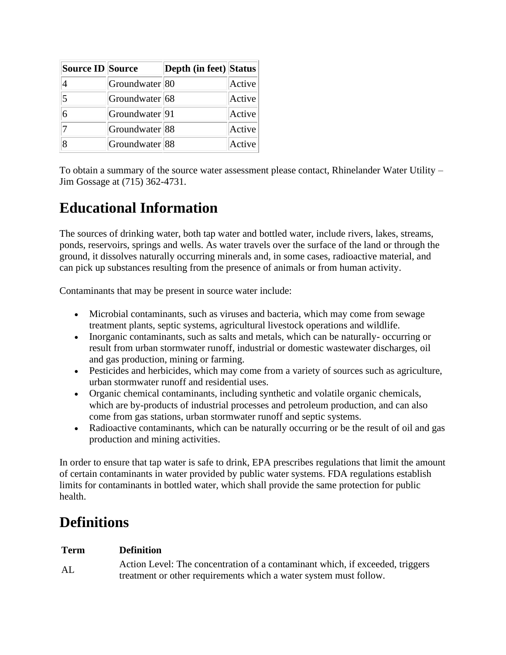| Source ID Source |                             | <b>Depth (in feet) Status</b> |        |
|------------------|-----------------------------|-------------------------------|--------|
|                  | Groundwater <sup>180</sup>  |                               | Active |
| 5                | Groundwater 68              |                               | Active |
| 6                | Groundwater <sup>[91]</sup> |                               | Active |
|                  | Groundwater <sup>88</sup>   |                               | Active |
|                  | Groundwater 88              |                               | Active |

To obtain a summary of the source water assessment please contact, Rhinelander Water Utility – Jim Gossage at (715) 362-4731.

### **Educational Information**

The sources of drinking water, both tap water and bottled water, include rivers, lakes, streams, ponds, reservoirs, springs and wells. As water travels over the surface of the land or through the ground, it dissolves naturally occurring minerals and, in some cases, radioactive material, and can pick up substances resulting from the presence of animals or from human activity.

Contaminants that may be present in source water include:

- Microbial contaminants, such as viruses and bacteria, which may come from sewage treatment plants, septic systems, agricultural livestock operations and wildlife.
- Inorganic contaminants, such as salts and metals, which can be naturally- occurring or result from urban stormwater runoff, industrial or domestic wastewater discharges, oil and gas production, mining or farming.
- Pesticides and herbicides, which may come from a variety of sources such as agriculture, urban stormwater runoff and residential uses.
- Organic chemical contaminants, including synthetic and volatile organic chemicals, which are by-products of industrial processes and petroleum production, and can also come from gas stations, urban stormwater runoff and septic systems.
- Radioactive contaminants, which can be naturally occurring or be the result of oil and gas production and mining activities.

In order to ensure that tap water is safe to drink, EPA prescribes regulations that limit the amount of certain contaminants in water provided by public water systems. FDA regulations establish limits for contaminants in bottled water, which shall provide the same protection for public health.

### **Definitions**

#### **Term Definition**

AL Action Level: The concentration of a contaminant which, if exceeded, triggers treatment or other requirements which a water system must follow.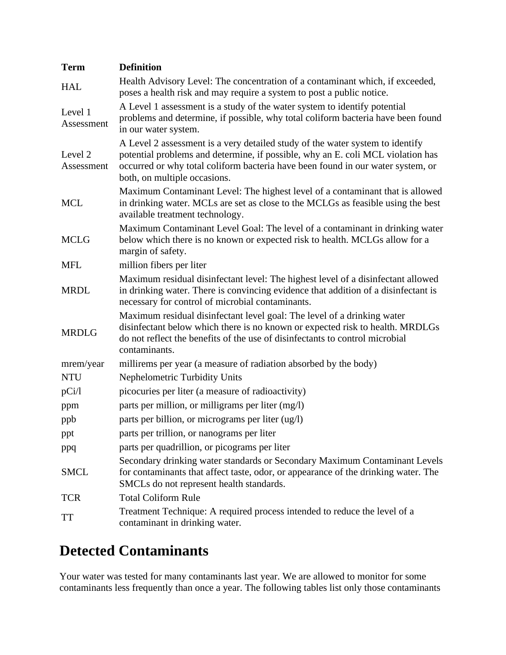| <b>Term</b>           | <b>Definition</b>                                                                                                                                                                                                                                                                   |
|-----------------------|-------------------------------------------------------------------------------------------------------------------------------------------------------------------------------------------------------------------------------------------------------------------------------------|
| <b>HAL</b>            | Health Advisory Level: The concentration of a contaminant which, if exceeded,<br>poses a health risk and may require a system to post a public notice.                                                                                                                              |
| Level 1<br>Assessment | A Level 1 assessment is a study of the water system to identify potential<br>problems and determine, if possible, why total coliform bacteria have been found<br>in our water system.                                                                                               |
| Level 2<br>Assessment | A Level 2 assessment is a very detailed study of the water system to identify<br>potential problems and determine, if possible, why an E. coli MCL violation has<br>occurred or why total coliform bacteria have been found in our water system, or<br>both, on multiple occasions. |
| <b>MCL</b>            | Maximum Contaminant Level: The highest level of a contaminant that is allowed<br>in drinking water. MCLs are set as close to the MCLGs as feasible using the best<br>available treatment technology.                                                                                |
| <b>MCLG</b>           | Maximum Contaminant Level Goal: The level of a contaminant in drinking water<br>below which there is no known or expected risk to health. MCLGs allow for a<br>margin of safety.                                                                                                    |
| <b>MFL</b>            | million fibers per liter                                                                                                                                                                                                                                                            |
| <b>MRDL</b>           | Maximum residual disinfectant level: The highest level of a disinfectant allowed<br>in drinking water. There is convincing evidence that addition of a disinfectant is<br>necessary for control of microbial contaminants.                                                          |
| <b>MRDLG</b>          | Maximum residual disinfectant level goal: The level of a drinking water<br>disinfectant below which there is no known or expected risk to health. MRDLGs<br>do not reflect the benefits of the use of disinfectants to control microbial<br>contaminants.                           |
| mrem/year             | millirems per year (a measure of radiation absorbed by the body)                                                                                                                                                                                                                    |
| <b>NTU</b>            | Nephelometric Turbidity Units                                                                                                                                                                                                                                                       |
| pCi/l                 | picocuries per liter (a measure of radioactivity)                                                                                                                                                                                                                                   |
| ppm                   | parts per million, or milligrams per liter (mg/l)                                                                                                                                                                                                                                   |
| ppb                   | parts per billion, or micrograms per liter (ug/l)                                                                                                                                                                                                                                   |
| ppt                   | parts per trillion, or nanograms per liter                                                                                                                                                                                                                                          |
| ppq                   | parts per quadrillion, or picograms per liter                                                                                                                                                                                                                                       |
| <b>SMCL</b>           | Secondary drinking water standards or Secondary Maximum Contaminant Levels<br>for contaminants that affect taste, odor, or appearance of the drinking water. The<br>SMCLs do not represent health standards.                                                                        |
| <b>TCR</b>            | <b>Total Coliform Rule</b>                                                                                                                                                                                                                                                          |
| TT                    | Treatment Technique: A required process intended to reduce the level of a<br>contaminant in drinking water.                                                                                                                                                                         |

### **Detected Contaminants**

Your water was tested for many contaminants last year. We are allowed to monitor for some contaminants less frequently than once a year. The following tables list only those contaminants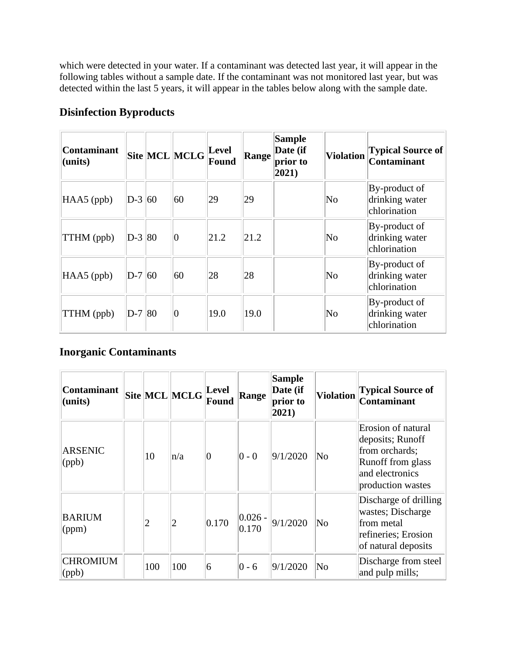which were detected in your water. If a contaminant was detected last year, it will appear in the following tables without a sample date. If the contaminant was not monitored last year, but was detected within the last 5 years, it will appear in the tables below along with the sample date.

#### **Disinfection Byproducts**

| <b>Contaminant</b><br>(units) |          | Site MCL MCLG | Level<br>Found | Range | <b>Sample</b><br>Date (if<br>prior to<br>$ 2021\rangle$ | <b>Violation</b>       | <b>Typical Source of</b><br><b>Contaminant</b>     |
|-------------------------------|----------|---------------|----------------|-------|---------------------------------------------------------|------------------------|----------------------------------------------------|
| HAA5 (ppb)                    | $D-3 60$ | 60            | 29             | 29    |                                                         | No                     | By-product of<br>drinking water<br>chlorination    |
| TTHM (ppb)                    | $D-3 80$ | $ 0\rangle$   | 21.2           | 21.2  |                                                         | No                     | By-product of<br>drinking water<br>chlorination    |
| HAA5 (ppb)                    | $D-7 60$ | 60            | 28             | 28    |                                                         | $\overline{\text{No}}$ | $By$ -product of<br>drinking water<br>chlorination |
| TTHM (ppb)                    | $D-7 80$ | $ 0\rangle$   | 19.0           | 19.0  |                                                         | No                     | By-product of<br>drinking water<br>chlorination    |

#### **Inorganic Contaminants**

| <b>Contaminant</b><br>(units)    |                | Site MCL MCLG | <b>Level</b><br>Found | Range               | <b>Sample</b><br>Date (if<br>prior to<br>2021) | <b>Violation</b>       | <b>Typical Source of</b><br><b>Contaminant</b>                                                                        |
|----------------------------------|----------------|---------------|-----------------------|---------------------|------------------------------------------------|------------------------|-----------------------------------------------------------------------------------------------------------------------|
| <b>ARSENIC</b><br>$\phi$         | 10             | n/a           | $\vert 0 \vert$       | $ 0 - 0 $           | 9/1/2020                                       | $\overline{\text{No}}$ | Erosion of natural<br>deposits; Runoff<br>from orchards;<br>Runoff from glass<br>and electronics<br>production wastes |
| <b>BARIUM</b><br>$\gamma$ (ppm)  | $\overline{2}$ | 2             | 0.170                 | $ 0.026 -$<br>0.170 | 9/1/2020                                       | $\overline{\text{No}}$ | Discharge of drilling<br>wastes; Discharge<br>from metal<br>refineries; Erosion<br>of natural deposits                |
| <b>CHROMIUM</b><br>$\vert$ (ppb) | 100            | 100           | 6                     | $ 0 - 6 $           | 9/1/2020                                       | $\overline{\text{No}}$ | Discharge from steel<br>and pulp mills;                                                                               |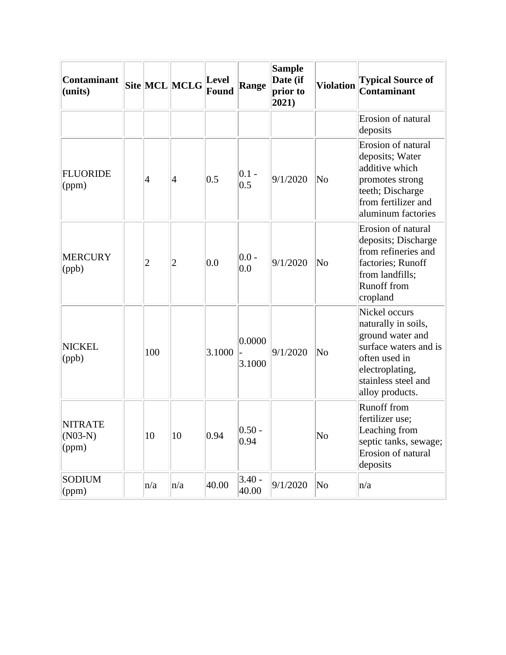| <b>Contaminant</b><br>(units)        |                | Site MCL MCLG  | <b>Level</b><br><b>Found</b> | Range             | <b>Sample</b><br>Date (if<br>prior to<br>2021) | <b>Violation</b>       | <b>Typical Source of</b><br><b>Contaminant</b>                                                                                                                  |
|--------------------------------------|----------------|----------------|------------------------------|-------------------|------------------------------------------------|------------------------|-----------------------------------------------------------------------------------------------------------------------------------------------------------------|
|                                      |                |                |                              |                   |                                                |                        | Erosion of natural<br>deposits                                                                                                                                  |
| <b>FLUORIDE</b><br>(ppm)             | 4              | $\vert 4$      | 0.5                          | $0.1 -$<br>0.5    | 9/1/2020                                       | $\overline{\text{No}}$ | Erosion of natural<br>deposits; Water<br>additive which<br>promotes strong<br>teeth; Discharge<br>from fertilizer and<br>aluminum factories                     |
| <b>MERCURY</b><br>(ppb)              | $\overline{2}$ | $\overline{c}$ | 0.0                          | $0.0 -$<br>0.0    | 9/1/2020                                       | $\overline{\text{No}}$ | Erosion of natural<br>deposits; Discharge<br>from refineries and<br>factories; Runoff<br>from landfills;<br><b>Runoff</b> from<br>cropland                      |
| <b>NICKEL</b><br>(ppb)               | 100            |                | 3.1000                       | 0.0000<br>3.1000  | 9/1/2020                                       | $\overline{\text{No}}$ | Nickel occurs<br>naturally in soils,<br>ground water and<br>surface waters and is<br>often used in<br>electroplating,<br>stainless steel and<br>alloy products. |
| <b>NITRATE</b><br>$(NO3-N)$<br>(ppm) | 10             | 10             | 0.94                         | $0.50 -$<br>0.94  |                                                | No                     | <b>Runoff from</b><br>fertilizer use;<br>Leaching from<br>septic tanks, sewage;<br>Erosion of natural<br>deposits                                               |
| <b>SODIUM</b><br>$\gamma$ (ppm)      | n/a            | n/a            | 40.00                        | $3.40 -$<br>40.00 | 9/1/2020                                       | No                     | n/a                                                                                                                                                             |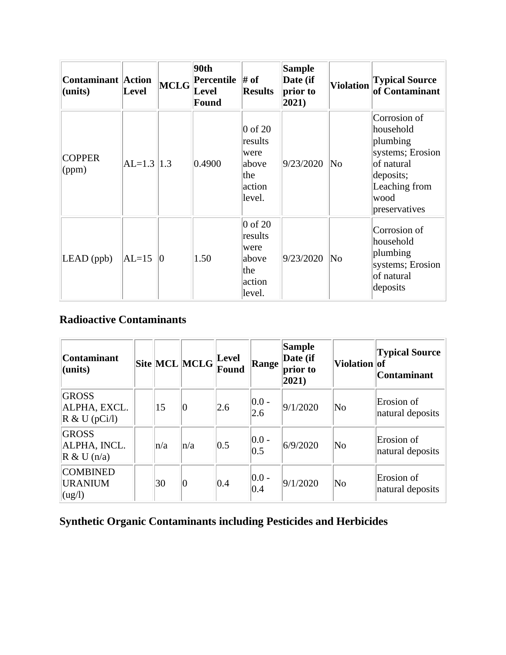| <b>Contaminant</b> Action<br>(units) | <b>Level</b>   | MCLG | 90th<br><b>Percentile</b> $\#$ of<br>Level<br><b>Found</b> | <b>Results</b>                                                              | <b>Sample</b><br>Date (if<br>prior to<br>$ 2021\rangle$ | <b>Violation</b> | <b>Typical Source</b><br>of Contaminant                                                                                        |
|--------------------------------------|----------------|------|------------------------------------------------------------|-----------------------------------------------------------------------------|---------------------------------------------------------|------------------|--------------------------------------------------------------------------------------------------------------------------------|
| <b>COPPER</b><br>(ppm)               | $AL=1.3$   1.3 |      | 0.4900                                                     | $\vert 0$ of 20<br>results<br>were<br>above<br>the<br>action<br>level.      | 9/23/2020                                               | No               | Corrosion of<br>household<br>plumbing<br>systems; Erosion<br>of natural<br>deposits;<br>Leaching from<br>wood<br>preservatives |
| $LEAD$ (ppb)                         | $AL=15$        | Ю    | 1.50                                                       | $\overline{0}$ of 20<br>results<br>were<br>above<br>the<br>action<br>level. | 9/23/2020                                               | No               | Corrosion of<br>household<br>plumbing<br>systems; Erosion<br>of natural<br>deposits                                            |

#### **Radioactive Contaminants**

| <b>Contaminant</b><br>(units)                              |         | Site MCL MCLG | Level<br>Found | <b>Range</b>     | <b>Sample</b><br>Date (if<br>prior to<br>$ 2021\rangle$ | Violation of           | <b>Typical Source</b><br>Contaminant |
|------------------------------------------------------------|---------|---------------|----------------|------------------|---------------------------------------------------------|------------------------|--------------------------------------|
| <b>GROSS</b><br>ALPHA, EXCL.<br>$\mathbb{R}$ & U (pCi/l)   | 15      | Ю             | 2.6            | $ 0.0 -$<br> 2.6 | 9/1/2020                                                | $\overline{\text{No}}$ | Erosion of<br>natural deposits       |
| <b>GROSS</b><br>ALPHA, INCL.<br>$\mathbb{R}$ & U (n/a)     | $\ln/a$ | $\ln/a$       | 0.5            | $ 0.0 -$<br> 0.5 | 6/9/2020                                                | $\overline{\text{No}}$ | Erosion of<br>natural deposits       |
| <b>COMBINED</b><br><b>URANIUM</b><br>$\log$ <sup>1</sup> ) | 30      | 10            | 0.4            | $ 0.0 -$<br>0.4  | 9/1/2020                                                | $\overline{\text{No}}$ | Erosion of<br>natural deposits       |

### **Synthetic Organic Contaminants including Pesticides and Herbicides**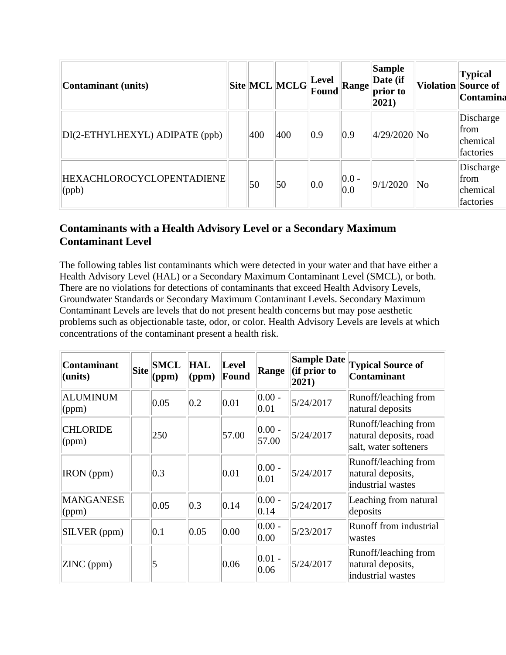| Contaminant (units)                               |     | $\ $ Site $\ $ MCL $\ $ MCLG $\ $ r $\frac{$ Level | Found         | <b>Range</b>     | <b>Sample</b><br>Date (if<br>prior to<br>$ 2021\rangle$ |    | <b>Typical</b><br><b>Violation Source of</b><br>Contamina |
|---------------------------------------------------|-----|----------------------------------------------------|---------------|------------------|---------------------------------------------------------|----|-----------------------------------------------------------|
| DI(2-ETHYLHEXYL) ADIPATE (ppb)                    | 400 | 400                                                | $ 0.9\rangle$ | $ 0.9\rangle$    | $4/29/2020$ No                                          |    | Discharge<br>from<br>chemical<br>factories                |
| <b>HEXACHLOROCYCLOPENTADIENE</b><br>$\vert$ (ppb) | 50  | 50                                                 | 0.0           | $ 0.0 -$<br> 0.0 | 9/1/2020                                                | No | Discharge<br>from<br>chemical<br>factories                |

#### **Contaminants with a Health Advisory Level or a Secondary Maximum Contaminant Level**

The following tables list contaminants which were detected in your water and that have either a Health Advisory Level (HAL) or a Secondary Maximum Contaminant Level (SMCL), or both. There are no violations for detections of contaminants that exceed Health Advisory Levels, Groundwater Standards or Secondary Maximum Contaminant Levels. Secondary Maximum Contaminant Levels are levels that do not present health concerns but may pose aesthetic problems such as objectionable taste, odor, or color. Health Advisory Levels are levels at which concentrations of the contaminant present a health risk.

| <b>Contaminant</b><br>(units) | <b>Site</b> | <b>SMCL</b><br>(ppm) | HAL<br>(ppm)  | Level<br>Found | Range              | <b>Sample Date</b><br>$\left  \text{ (if prior to }\right.$<br>$ 2021\rangle$ | <b>Typical Source of</b><br><b>Contaminant</b>                          |
|-------------------------------|-------------|----------------------|---------------|----------------|--------------------|-------------------------------------------------------------------------------|-------------------------------------------------------------------------|
| <b>ALUMINUM</b><br>(ppm)      |             | 0.05                 | 0.2           | 0.01           | $ 0.00 -$<br> 0.01 | 5/24/2017                                                                     | Runoff/leaching from<br>natural deposits                                |
| <b>CHLORIDE</b><br>(ppm)      |             | 250                  |               | 57.00          | $ 0.00 -$<br>57.00 | 5/24/2017                                                                     | Runoff/leaching from<br>natural deposits, road<br>salt, water softeners |
| IRON (ppm)                    |             | 0.3                  |               | 0.01           | $ 0.00 -$<br>0.01  | 5/24/2017                                                                     | Runoff/leaching from<br>natural deposits,<br>industrial wastes          |
| <b>MANGANESE</b><br>(ppm)     |             | 0.05                 | $ 0.3\rangle$ | 0.14           | $ 0.00 -$<br> 0.14 | 5/24/2017                                                                     | Leaching from natural<br>deposits                                       |
| SILVER (ppm)                  |             | 0.1                  | 0.05          | 0.00           | $ 0.00 -$<br>0.00  | 5/23/2017                                                                     | Runoff from industrial<br>wastes                                        |
| ZINC (ppm)                    |             | 5                    |               | 0.06           | $ 0.01 -$<br>0.06  | 5/24/2017                                                                     | Runoff/leaching from<br>natural deposits,<br>industrial wastes          |